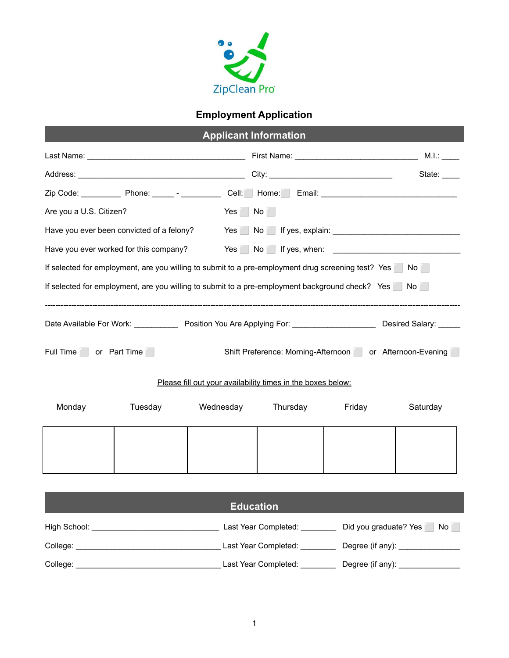

## **Employment Application**

| Are you a U.S. Citizen?                                                                                                  |           | Yes No                  |        |          |  |  |
|--------------------------------------------------------------------------------------------------------------------------|-----------|-------------------------|--------|----------|--|--|
| Have you ever been convicted of a felony?                                                                                |           | Yes No If yes, explain: |        |          |  |  |
|                                                                                                                          |           |                         |        |          |  |  |
| If selected for employment, are you willing to submit to a pre-employment drug screening test? Yes No                    |           |                         |        |          |  |  |
| If selected for employment, are you willing to submit to a pre-employment background check? Yes No                       |           |                         |        |          |  |  |
|                                                                                                                          |           |                         |        |          |  |  |
| Date Available For Work: ______________ Position You Are Applying For: __________________________ Desired Salary: ______ |           |                         |        |          |  |  |
| Full Time or Part Time<br>Shift Preference: Morning-Afternoon or Afternoon-Evening                                       |           |                         |        |          |  |  |
| Please fill out your availability times in the boxes below:                                                              |           |                         |        |          |  |  |
| Monday<br>Tuesday                                                                                                        | Wednesday | Thursday                | Friday | Saturday |  |  |
|                                                                                                                          |           |                         |        |          |  |  |
|                                                                                                                          |           |                         |        |          |  |  |
|                                                                                                                          |           |                         |        |          |  |  |
| <b>Education</b>                                                                                                         |           |                         |        |          |  |  |

High School: \_\_\_\_\_\_\_\_\_\_\_\_\_\_\_\_\_\_\_\_\_\_\_\_\_\_\_\_\_ Last Year Completed: \_\_\_\_\_\_\_\_ Did you graduate? Yes ⬜ No ⬜

College: \_\_\_\_\_\_\_\_\_\_\_\_\_\_\_\_\_\_\_\_\_\_\_\_\_\_\_\_\_\_\_\_\_ Last Year Completed: \_\_\_\_\_\_\_\_ Degree (if any): \_\_\_\_\_\_\_\_\_\_\_\_\_\_

College: \_\_\_\_\_\_\_\_\_\_\_\_\_\_\_\_\_\_\_\_\_\_\_\_\_\_\_\_\_\_\_\_\_ Last Year Completed: \_\_\_\_\_\_\_\_ Degree (if any): \_\_\_\_\_\_\_\_\_\_\_\_\_\_

1